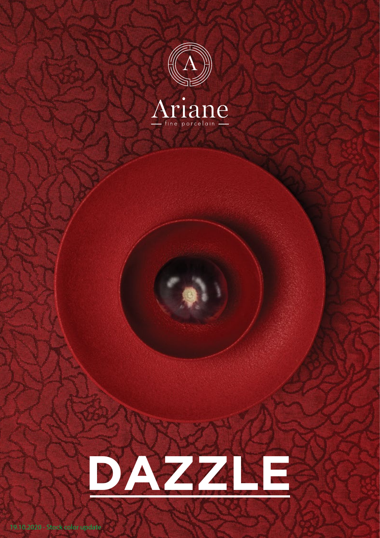



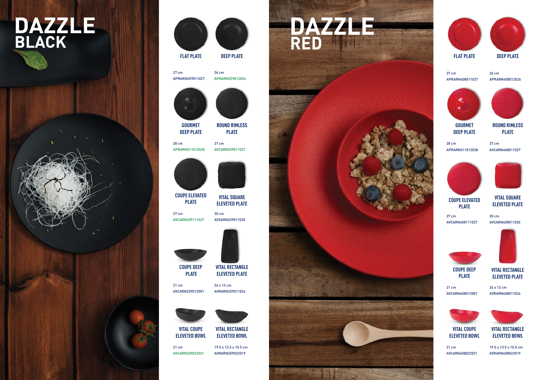## **DAZZLE**<br>BLACK





**FLAT PLATE**

**COUPE ELEVATED PLATE**

**DEEP PLATE**



**GOURMET DEEP PLATE**

> **PLATE VITAL RECTANGLE ELEVETED PLATE**

**ROUND RIMLESS PLATE**

**VITAL COUPE ELEVETED BOWL**

**VITAL SQUARE** 

**ELEVETED PLATE**



## **FLAT PLATE**

27 cm 27 cm APRARN259011027 APRARN259011027

> **COUPE ELEVATED PLATE**



26 cm 26 cm APRARN259012026 APRARN259012026





27 cm 27 cm AVCARN259111027 AVCARN259111027



28 cm 28 cm APRARN311012028 APRARN311012028

21 cm 21 cm



AVCARN259012001 AVCARN259012001

27 cm 27 cm AVCARN259011027 AVCARN259011027



**VITAL RECTANGLE ELEVETED PLATE**

24 x 13 cm 24 x 13 cm AVRARN259011024 AVRARN259011024



**ROUND RIMLESS PLATE**

30 cm 30 cm AVSARN259011030 AVSARN259011030

21 cm 21 cm

AVCARN259022021 AVCARN259022021 **ELEVETED BOWL** 19.5 x 13.5 x 10.5 cm 19.5 x 13.5 x 10.5 cm

**VITAL COUPE ELEVETED BOWL**

**VITAL SQUARE ELEVETED PLATE**

AVRARN259022019 AVRARN259022019











27 cm 27 cm APRARN408011027 APRARN408011027

> **VITAL RECTANGLE ELEVETED BOWL**

26 cm 26 cm APRARN408012026 APRARN408012026



27 cm 27 cm AVCARN408111027 AVCARN408111027



28 cm 28 cm APRARN511012028 APRARN511012028

21 cm 21 cm AVCARN408012001 AVCARN408012001



27 cm 27 cm AVCARN408011027 AVCARN408011027



24 x 13 cm 24 x 13 cm AVRARN408011024 AVRARN408011024



30 cm 30 cm AVSARN408011030 AVSARN408011030



21 cm 21 cm AVCARN408022021 AVCARN408022021 19.5 x 13.5 x 10.5 cm 19.5 x 13.5 x 10.5 cm AVRARN408022019 AVRARN408022019